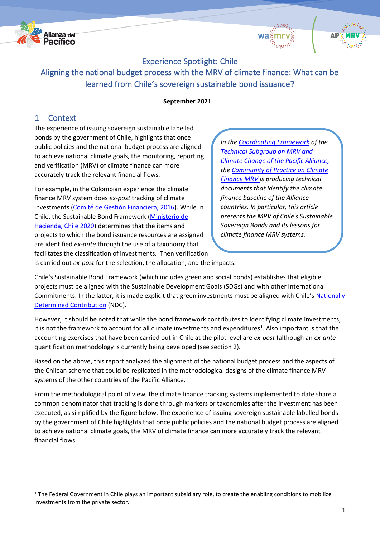





# Experience Spotlight: Chile

Aligning the national budget process with the MRV of climate finance: What can be learned from Chile's sovereign sustainable bond issuance?

## **September 2021**

# 1 Context

The experience of issuing sovereign sustainable labelled bonds by the government of Chile, highlights that once public policies and the national budget process are aligned to achieve national climate goals, the monitoring, reporting and verification (MRV) of climate finance can more accurately track the relevant financial flows.

For example, in the Colombian experience the climate finance MRV system does *ex-post* tracking of climate investments [\(Comité de Gestión Financiera, 2016\)](https://mrv.dnp.gov.co/Publicaciones/Documents/GU%25C3%258DA%2520METODOL%25C3%2593GICA%2520PARA%2520CLASIFICAR%2520Y%2520MEDIR%2520EL%2520FINANCIAMIENTO%2520ASOCIADO%2520CON%2520ACCIONES%2520DE%2520MITIGACI%25C3%2593N%2520Y%2520ADAPTACI%25C3%2593N.pdf). While in Chile, the Sustainable Bond Framework [\(Ministerio de](https://www.hacienda.cl/areas-de-trabajo/finanzas-internacionales/oficina-de-la-deuda-publica/bonos-sostenibles)  [Hacienda, Chile 2020\)](https://www.hacienda.cl/areas-de-trabajo/finanzas-internacionales/oficina-de-la-deuda-publica/bonos-sostenibles) determines that the items and projects to which the bond issuance resources are assigned are identified *ex-ante* through the use of a taxonomy that facilitates the classification of investments. Then verification

*In the [Coordinating Framework](https://alianzapacifico.net/wp-content/uploads/SGTMRV_Marco_Coord_2019.pdf) of the [Technical Subgroup on MRV and](https://alianzapacifico.net/wp-content/uploads/SGT-MRV_Esp_Brochure.pdf)  [Climate Change of the Pacific Alliance,](https://alianzapacifico.net/wp-content/uploads/SGT-MRV_Esp_Brochure.pdf) the [Community of Practice on Climate](https://alianzapacifico.net/wp-content/uploads/2021/08/CdP-MRV-FC_hacia-una-colaboracion-regional-exitosa_.pdf)  [Finance MRV i](https://alianzapacifico.net/wp-content/uploads/2021/08/CdP-MRV-FC_hacia-una-colaboracion-regional-exitosa_.pdf)s producing technical documents that identify the climate finance baseline of the Alliance countries. In particular, this article presents the MRV of Chile's Sustainable Sovereign Bonds and its lessons for climate finance MRV systems.*

is carried out *ex-post* for the selection, the allocation, and the impacts.

Chile's Sustainable Bond Framework (which includes green and social bonds) establishes that eligible projects must be aligned with the Sustainable Development Goals (SDGs) and with other International Commitments. In the latter, it is made explicit that green investments must be aligned with Chile's Nationally [Determined Contribution](https://mma.gob.cl/wp-content/uploads/2020/04/NDC_Chile_2020_espan%CC%83ol-1.pdf) (NDC).

However, it should be noted that while the bond framework contributes to identifying climate investments, it is not the framework to account for all climate investments and expenditures<sup>1</sup>. Also important is that the accounting exercises that have been carried out in Chile at the pilot level are *ex-post* (although an *ex-ante* quantification methodology is currently being developed (see section 2).

Based on the above, this report analyzed the alignment of the national budget process and the aspects of the Chilean scheme that could be replicated in the methodological designs of the climate finance MRV systems of the other countries of the Pacific Alliance.

From the methodological point of view, the climate finance tracking systems implemented to date share a common denominator that tracking is done through markers or taxonomies after the investment has been executed, as simplified by the figure below. The experience of issuing sovereign sustainable labelled bonds by the government of Chile highlights that once public policies and the national budget process are aligned to achieve national climate goals, the MRV of climate finance can more accurately track the relevant financial flows.

<sup>&</sup>lt;sup>1</sup> The Federal Government in Chile plays an important subsidiary role, to create the enabling conditions to mobilize investments from the private sector.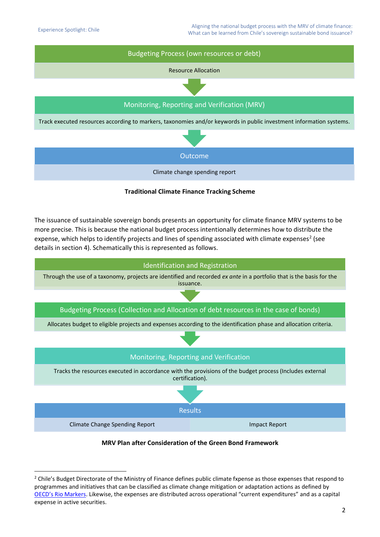

**Traditional Climate Finance Tracking Scheme**

The issuance of sustainable sovereign bonds presents an opportunity for climate finance MRV systems to be more precise. This is because the national budget process intentionally determines how to distribute the expense, which helps to identify projects and lines of spending associated with climate expenses<sup>2</sup> (see details in section 4). Schematically this is represented as follows.



## **MRV Plan after Consideration of the Green Bond Framework**

<sup>&</sup>lt;sup>2</sup> Chile's Budget Directorate of the Ministry of Finance defines public climate fxpense as those expenses that respond to programmes and initiatives that can be classified as climate change mitigation or adaptation actions as defined by [OECD's Rio Markers.](https://www.google.com/url?client=internal-element-cse&cx=012432601748511391518:xzeadub0b0a&q=https://www.oecd.org/dac/environment-development/Revised%2520climate%2520marker%2520handbook_FINAL.pdf&sa=U&ved=2ahUKEwiemPrtgtzyAhWzGFkFHZo6DE0QFnoECAYQAQ&usg=AOvVaw1QO5yiID9c0u4nIc8UOrtT) Likewise, the expenses are distributed across operational "current expenditures" and as a capital expense in active securities.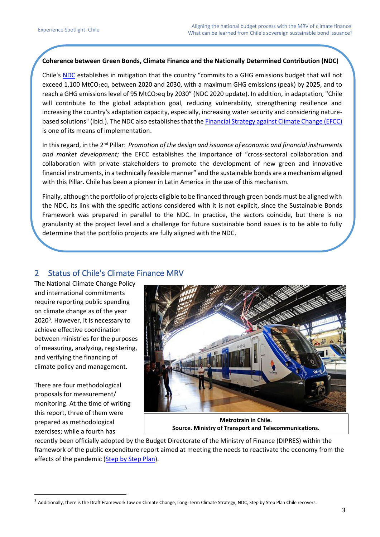## **Coherence between Green Bonds, Climate Finance and the Nationally Determined Contribution (NDC)**

Chile's [NDC](https://mma.gob.cl/wp-content/uploads/2020/04/NDC_Chile_2020_espan%25CC%2583ol-1.pdf) establishes in mitigation that the country "commits to a GHG emissions budget that will not exceed 1,100 MtCO<sub>2</sub>eq, between 2020 and 2030, with a maximum GHG emissions (peak) by 2025, and to reach a GHG emissions level of 95 MtCO<sub>2</sub>eq by 2030" (NDC 2020 update). In addition, in adaptation, "Chile will contribute to the global adaptation goal, reducing vulnerability, strengthening resilience and increasing the country's adaptation capacity, especially, increasing water security and considering naturebased solutions" (ibid.). The NDC also establishes that the **Financial Strategy against Climate Change (EFCC)** is one of its means of implementation.

In this regard, in the 2nd Pillar: *Promotion of the design and issuance of economic and financial instruments and market development;* the EFCC establishes the importance of "cross-sectoral collaboration and collaboration with private stakeholders to promote the development of new green and innovative financial instruments, in a technically feasible manner" and the sustainable bonds are a mechanism aligned with this Pillar. Chile has been a pioneer in Latin America in the use of this mechanism.

Finally, although the portfolio of projects eligible to be financed through green bonds must be aligned with the NDC, its link with the specific actions considered with it is not explicit, since the Sustainable Bonds Framework was prepared in parallel to the NDC. In practice, the sectors coincide, but there is no granularity at the project level and a challenge for future sustainable bond issues is to be able to fully determine that the portfolio projects are fully aligned with the NDC.

# 2 Status of Chile's Climate Finance MRV

The National Climate Change Policy and international commitments require reporting public spending on climate change as of the year 2020<sup>3</sup>. However, it is necessary to achieve effective coordination between ministries for the purposes of measuring, analyzing, registering, and verifying the financing of climate policy and management.

There are four methodological proposals for measurement/ monitoring. At the time of writing this report, three of them were prepared as methodological exercises; while a fourth has



**Metrotrain in Chile. Source. Ministry of Transport and Telecommunications.**

recently been officially adopted by the Budget Directorate of the Ministry of Finance (DIPRES) within the framework of the public expenditure report aimed at meeting the needs to reactivate the economy from the effects of the pandemic [\(Step by Step Plan\)](https://s3.amazonaws.com/gobcl-prod/public_files/Campa%C3%B1as/Chile-se-Recupera/Chile-se-recupera-2.0/210630_Reporte_Sustentabilidad_Inv_Publica_v6.pdf).

<sup>&</sup>lt;sup>3</sup> Additionally, there is the Draft Framework Law on Climate Change, Long-Term Climate Strategy, NDC, Step by Step Plan Chile recovers.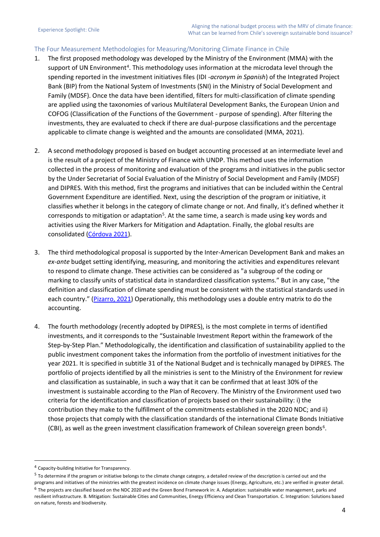## The Four Measurement Methodologies for Measuring/Monitoring Climate Finance in Chile

- 1. The first proposed methodology was developed by the Ministry of the Environment (MMA) with the support of UN Environment<sup>4</sup>. This methodology uses information at the microdata level through the spending reported in the investment initiatives files (IDI *-acronym in Spanish*) of the Integrated Project Bank (BIP) from the National System of Investments (SNI) in the Ministry of Social Development and Family (MDSF). Once the data have been identified, filters for multi-classification of climate spending are applied using the taxonomies of various Multilateral Development Banks, the European Union and COFOG (Classification of the Functions of the Government - purpose of spending). After filtering the investments, they are evaluated to check if there are dual-purpose classifications and the percentage applicable to climate change is weighted and the amounts are consolidated (MMA, 2021).
- 2. A second methodology proposed is based on budget accounting processed at an intermediate level and is the result of a project of the Ministry of Finance with UNDP. This method uses the information collected in the process of monitoring and evaluation of the programs and initiatives in the public sector by the Under Secretariat of Social Evaluation of the Ministry of Social Development and Family (MDSF) and DIPRES. With this method, first the programs and initiatives that can be included within the Central Government Expenditure are identified. Next, using the description of the program or initiative, it classifies whether it belongs in the category of climate change or not. And finally, it's defined whether it corresponds to mitigation or adaptation<sup>5</sup>. At the same time, a search is made using key words and activities using the River Markers for Mitigation and Adaptation. Finally, the global results are consolidated [\(Córdova 2021\)](http://www.dipres.cl/598/articles-225824_doc_pdf.pdf).
- 3. The third methodological proposal is supported by the Inter-American Development Bank and makes an *ex-ante* budget setting identifying, measuring, and monitoring the activities and expenditures relevant to respond to climate change. These activities can be considered as "a subgroup of the coding or marking to classify units of statistical data in standardized classification systems." But in any case, "the definition and classification of climate spending must be consistent with the statistical standards used in each country." ([Pizarro, 2021\)](https://publications.iadb.org/publications/spanish/document/Marcadores-presupuestarios-de-cambio-climatico-Conexiones-entre-los-sistemas-de-clasificacion-financiera-y-ambiental.pdf) Operationally, this methodology uses a double entry matrix to do the accounting.
- 4. The fourth methodology (recently adopted by DIPRES), is the most complete in terms of identified investments, and it corresponds to the "Sustainable Investment Report within the framework of the Step-by-Step Plan." Methodologically, the identification and classification of sustainability applied to the public investment component takes the information from the portfolio of investment initiatives for the year 2021. It is specified in subtitle 31 of the National Budget and is technically managed by DIPRES. The portfolio of projects identified by all the ministries is sent to the Ministry of the Environment for review and classification as sustainable, in such a way that it can be confirmed that at least 30% of the investment is sustainable according to the Plan of Recovery. The Ministry of the Environment used two criteria for the identification and classification of projects based on their sustainability: i) the contribution they make to the fulfillment of the commitments established in the 2020 NDC; and ii) those projects that comply with the classification standards of the international Climate Bonds Initiative (CBI), as well as the green investment classification framework of Chilean sovereign green bonds<sup>6</sup>.

<sup>4</sup> Capacity-building Initiative for Transparency.

 $5$  To determine if the program or initiative belongs to the climate change category, a detailed review of the description is carried out and the programs and initiatives of the ministries with the greatest incidence on climate change issues (Energy, Agriculture, etc.) are verified in greater detail. <sup>6</sup> The projects are classified based on the NDC 2020 and the Green Bond Framework in: A. Adaptation: sustainable water management, parks and resilient infrastructure. B. Mitigation: Sustainable Cities and Communities, Energy Efficiency and Clean Transportation. C. Integration: Solutions based on nature, forests and biodiversity.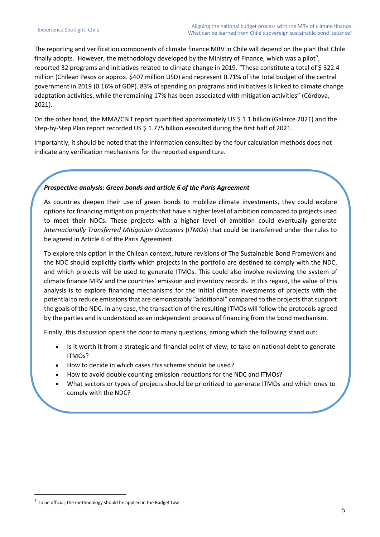The reporting and verification components of climate finance MRV in Chile will depend on the plan that Chile finally adopts. However, the methodology developed by the Ministry of Finance, which was a pilot<sup>7</sup>, reported 32 programs and initiatives related to climate change in 2019. "These constitute a total of \$ 322.4 million (Chilean Pesos or approx. \$407 million USD) and represent 0.71% of the total budget of the central government in 2019 (0.16% of GDP). 83% of spending on programs and initiatives is linked to climate change adaptation activities, while the remaining 17% has been associated with mitigation activities" (Córdova, 2021).

On the other hand, the MMA/CBIT report quantified approximately US \$ 1.1 billion (Galarce 2021) and the Step-by-Step Plan report recorded US \$ 1.775 billion executed during the first half of 2021.

Importantly, it should be noted that the information consulted by the four calculation methods does not indicate any verification mechanisms for the reported expenditure.

### *Prospective analysis: Green bonds and article 6 of the Paris Agreement*

As countries deepen their use of green bonds to mobilize climate investments, they could explore options for financing mitigation projects that have a higher level of ambition compared to projects used to meet their NDCs. These projects with a higher level of ambition could eventually generate *Internationally Transferred Mitigation Outcomes* (*ITMOs*) that could be transferred under the rules to be agreed in Article 6 of the Paris Agreement.

To explore this option in the Chilean context, future revisions of The Sustainable Bond Framework and the NDC should explicitly clarify which projects in the portfolio are destined to comply with the NDC, and which projects will be used to generate ITMOs. This could also involve reviewing the system of climate finance MRV and the countries' emission and inventory records. In this regard, the value of this analysis is to explore financing mechanisms for the initial climate investments of projects with the potential to reduce emissions that are demonstrably "additional" compared to the projects that support the goals of the NDC. In any case, the transaction of the resulting ITMOs will follow the protocols agreed by the parties and is understood as an independent process of financing from the bond mechanism.

Finally, this discussion opens the door to many questions, among which the following stand out:

- Is it worth it from a strategic and financial point of view, to take on national debt to generate ITMOs?
- How to decide in which cases this scheme should be used?
- How to avoid double counting emission reductions for the NDC and ITMOs?
- What sectors or types of projects should be prioritized to generate ITMOs and which ones to comply with the NDC?

 $<sup>7</sup>$  To be official, the methodology should be applied in the Budget Law</sup>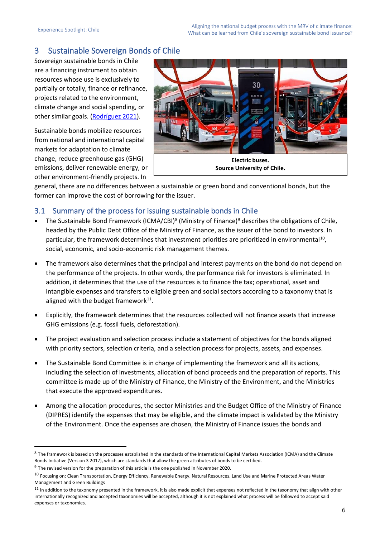# 3 Sustainable Sovereign Bonds of Chile

Sovereign sustainable bonds in Chile are a financing instrument to obtain resources whose use is exclusively to partially or totally, finance or refinance, projects related to the environment, climate change and social spending, or other similar goals. [\(Rodríguez 2021\)](https://www.cr.undp.org/content/costarica/es/home/library/documento-de-trabajo--informe-de-viabilidad-de-las-emisiones-pot.html).

Sustainable bonds mobilize resources from national and international capital markets for adaptation to climate change, reduce greenhouse gas (GHG) emissions, deliver renewable energy, or other environment-friendly projects. In



**Source University of Chile.**

general, there are no differences between a sustainable or green bond and conventional bonds, but the former can improve the cost of borrowing for the issuer.

## 3.1 Summary of the process for issuing sustainable bonds in Chile

- The Sustainable Bond Framework (ICMA/CBI)<sup>8</sup> (Ministry of Finance)<sup>9</sup> describes the obligations of Chile, headed by the Public Debt Office of the Ministry of Finance, as the issuer of the bond to investors. In particular, the framework determines that investment priorities are prioritized in environmental<sup>10</sup>, social, economic, and socio-economic risk management themes.
- The framework also determines that the principal and interest payments on the bond do not depend on the performance of the projects. In other words, the performance risk for investors is eliminated. In addition, it determines that the use of the resources is to finance the tax; operational, asset and intangible expenses and transfers to eligible green and social sectors according to a taxonomy that is aligned with the budget framework $^{11}$ .
- Explicitly, the framework determines that the resources collected will not finance assets that increase GHG emissions (e.g. fossil fuels, deforestation).
- The project evaluation and selection process include a statement of objectives for the bonds aligned with priority sectors, selection criteria, and a selection process for projects, assets, and expenses.
- The Sustainable Bond Committee is in charge of implementing the framework and all its actions, including the selection of investments, allocation of bond proceeds and the preparation of reports. This committee is made up of the Ministry of Finance, the Ministry of the Environment, and the Ministries that execute the approved expenditures.
- Among the allocation procedures, the sector Ministries and the Budget Office of the Ministry of Finance (DIPRES) identify the expenses that may be eligible, and the climate impact is validated by the Ministry of the Environment. Once the expenses are chosen, the Ministry of Finance issues the bonds and

<sup>&</sup>lt;sup>8</sup> The framework is based on the processes established in the standards of the International Capital Markets Association (ICMA) and the Climate Bonds Initiative (Version 3 2017), which are standards that allow the green attributes of bonds to be certified.

<sup>&</sup>lt;sup>9</sup> The revised version for the preparation of this article is the one published in November 2020.

<sup>&</sup>lt;sup>10</sup> Focusing on: Clean Transportation, Energy Efficiency, Renewable Energy, Natural Resources, Land Use and Marine Protected Areas Water Management and Green Buildings

 $11$  In addition to the taxonomy presented in the framework, it is also made explicit that expenses not reflected in the taxonomy that align with other internationally recognized and accepted taxonomies will be accepted, although it is not explained what process will be followed to accept said expenses or taxonomies.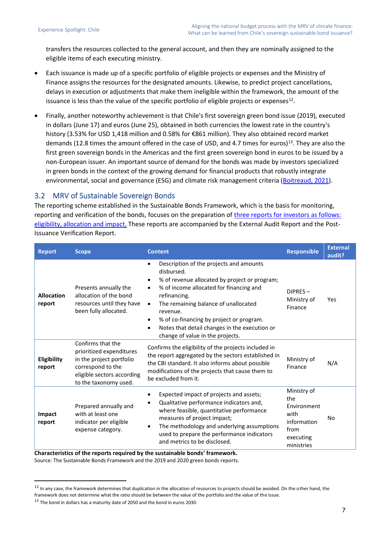transfers the resources collected to the general account, and then they are nominally assigned to the eligible items of each executing ministry.

- Each issuance is made up of a specific portfolio of eligible projects or expenses and the Ministry of Finance assigns the resources for the designated amounts. Likewise, to predict project cancellations, delays in execution or adjustments that make them ineligible within the framework, the amount of the issuance is less than the value of the specific portfolio of eligible projects or expenses<sup>12</sup>.
- Finally, another noteworthy achievement is that Chile's first sovereign green bond issue (2019), executed in dollars (June 17) and euros (June 25), obtained in both currencies the lowest rate in the country's history (3.53% for USD 1,418 million and 0.58% for €861 million). They also obtained record market demands (12.8 times the amount offered in the case of USD, and 4.7 times for euros)<sup>13</sup>. They are also the first green sovereign bonds in the Americas and the first green sovereign bond in euros to be issued by a non-European issuer. An important source of demand for the bonds was made by investors specialized in green bonds in the context of the growing demand for financial products that robustly integrate environmental, social and governance (ESG) and climate risk management criteria [\(Boitreaud, 2021\)](https://documents.worldbank.org/en/publication/documents-reports/documentdetail/459991621583141166/paving-the-path-lessons-from-chile-s-experiences-as-a-sovereign-issuer-for-sustainable-finance-action).

## 3.2 MRV of Sustainable Sovereign Bonds

The reporting scheme established in the Sustainable Bonds Framework, which is the basis for monitoring, reporting and verification of the bonds, focuses on the preparation of [three reports for investors as follows:](https://www.hacienda.cl/noticias-y-eventos/noticias/ministerio-de-hacienda-publica-el-reporte-2020-de-bonos-verdes-)  [eligibility, allocation and impact.](https://www.hacienda.cl/noticias-y-eventos/noticias/ministerio-de-hacienda-publica-el-reporte-2020-de-bonos-verdes-) These reports are accompanied by the External Audit Report and the Post-Issuance Verification Report.

| <b>Report</b>                | <b>Scope</b>                                                                                                                                          | <b>Content</b>                                                                                                                                                                                                                                                                                                                                                                                | <b>Responsible</b>                                                                          | <b>External</b><br>audit? |
|------------------------------|-------------------------------------------------------------------------------------------------------------------------------------------------------|-----------------------------------------------------------------------------------------------------------------------------------------------------------------------------------------------------------------------------------------------------------------------------------------------------------------------------------------------------------------------------------------------|---------------------------------------------------------------------------------------------|---------------------------|
| <b>Allocation</b><br>report  | Presents annually the<br>allocation of the bond<br>resources until they have<br>been fully allocated.                                                 | Description of the projects and amounts<br>disbursed.<br>% of revenue allocated by project or program;<br>% of income allocated for financing and<br>refinancing.<br>The remaining balance of unallocated<br>$\bullet$<br>revenue.<br>% of co-financing by project or program.<br>$\bullet$<br>Notes that detail changes in the execution or<br>$\bullet$<br>change of value in the projects. | DIPRES-<br>Ministry of<br>Finance                                                           | Yes                       |
| <b>Eligibility</b><br>report | Confirms that the<br>prioritized expenditures<br>in the project portfolio<br>correspond to the<br>eligible sectors according<br>to the taxonomy used. | Confirms the eligibility of the projects included in<br>the report aggregated by the sectors established in<br>the CBI standard. It also informs about possible<br>modifications of the projects that cause them to<br>be excluded from it.                                                                                                                                                   | Ministry of<br>Finance                                                                      | N/A                       |
| Impact<br>report             | Prepared annually and<br>with at least one<br>indicator per eligible<br>expense category.                                                             | Expected impact of projects and assets;<br>Qualitative performance indicators and,<br>where feasible, quantitative performance<br>measures of project impact;<br>The methodology and underlying assumptions<br>used to prepare the performance indicators<br>and metrics to be disclosed.                                                                                                     | Ministry of<br>the<br>Environment<br>with<br>information<br>from<br>executing<br>ministries | No.                       |

**Characteristics of the reports required by the sustainable bonds' framework.** 

Source: The Sustainable Bonds Framework and the 2019 and 2020 green bonds reports.

<sup>&</sup>lt;sup>12</sup> In any case, the framework determines that duplication in the allocation of resources to projects should be avoided. On the other hand, the framework does not determine what the ratio should be between the value of the portfolio and the value of the issue.

<sup>&</sup>lt;sup>13</sup> The bond in dollars has a maturity date of 2050 and the bond in euros 2030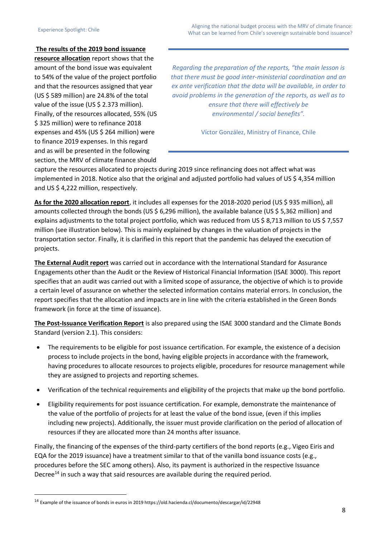## **The results of the 2019 bond issuance**

**resource allocation** report shows that the amount of the bond issue was equivalent to 54% of the value of the project portfolio and that the resources assigned that year (US \$ 589 million) are 24.8% of the total value of the issue (US \$ 2.373 million). Finally, of the resources allocated, 55% (US \$ 325 million) were to refinance 2018 expenses and 45% (US \$ 264 million) were to finance 2019 expenses. In this regard and as will be presented in the following section, the MRV of climate finance should

*Regarding the preparation of the reports, "the main lesson is that there must be good inter-ministerial coordination and an ex ante verification that the data will be available, in order to avoid problems in the generation of the reports, as well as to ensure that there will effectively be environmental / social benefits".* 

Víctor González, Ministry of Finance, Chile

capture the resources allocated to projects during 2019 since refinancing does not affect what was implemented in 2018. Notice also that the original and adjusted portfolio had values of US \$ 4,354 million and US \$ 4,222 million, respectively.

**As for the 2020 allocation report**, it includes all expenses for the 2018-2020 period (US \$ 935 million), all amounts collected through the bonds (US \$ 6,296 million), the available balance (US \$ 5,362 million) and explains adjustments to the total project portfolio, which was reduced from US \$ 8,713 million to US \$ 7,557 million (see illustration below). This is mainly explained by changes in the valuation of projects in the transportation sector. Finally, it is clarified in this report that the pandemic has delayed the execution of projects.

**The External Audit report** was carried out in accordance with the International Standard for Assurance Engagements other than the Audit or the Review of Historical Financial Information (ISAE 3000). This report specifies that an audit was carried out with a limited scope of assurance, the objective of which is to provide a certain level of assurance on whether the selected information contains material errors. In conclusion, the report specifies that the allocation and impacts are in line with the criteria established in the Green Bonds framework (in force at the time of issuance).

**The Post-Issuance Verification Report** is also prepared using the ISAE 3000 standard and the Climate Bonds Standard (version 2.1). This considers:

- The requirements to be eligible for post issuance certification. For example, the existence of a decision process to include projects in the bond, having eligible projects in accordance with the framework, having procedures to allocate resources to projects eligible, procedures for resource management while they are assigned to projects and reporting schemes.
- Verification of the technical requirements and eligibility of the projects that make up the bond portfolio.
- Eligibility requirements for post issuance certification. For example, demonstrate the maintenance of the value of the portfolio of projects for at least the value of the bond issue, (even if this implies including new projects). Additionally, the issuer must provide clarification on the period of allocation of resources if they are allocated more than 24 months after issuance.

Finally, the financing of the expenses of the third-party certifiers of the bond reports (e.g., Vigeo Eiris and EQA for the 2019 issuance) have a treatment similar to that of the vanilla bond issuance costs (e.g., procedures before the SEC among others). Also, its payment is authorized in the respective Issuance Decree<sup>14</sup> in such a way that said resources are available during the required period.

<sup>14</sup> Example of the issuance of bonds in euros in 2019 https://old.hacienda.cl/documento/descargar/id/22948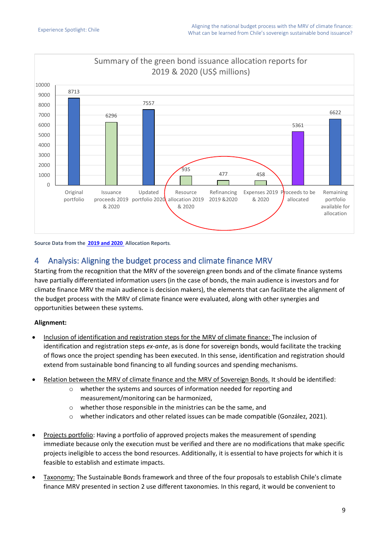

#### **Source Data from the [2019 and 2020 A](https://www.hacienda.cl/areas-de-trabajo/finanzas-internacionales/oficina-de-la-deuda-publica/bonos-sostenibles/bonos-verdes)llocation Reports***.*

## 4 Analysis: Aligning the budget process and climate finance MRV

Starting from the recognition that the MRV of the sovereign green bonds and of the climate finance systems have partially differentiated information users (in the case of bonds, the main audience is investors and for climate finance MRV the main audience is decision makers), the elements that can facilitate the alignment of the budget process with the MRV of climate finance were evaluated, along with other synergies and opportunities between these systems.

## **Alignment:**

- Inclusion of identification and registration steps for the MRV of climate finance: The inclusion of identification and registration steps *ex-ante*, as is done for sovereign bonds, would facilitate the tracking of flows once the project spending has been executed. In this sense, identification and registration should extend from sustainable bond financing to all funding sources and spending mechanisms.
- Relation between the MRV of climate finance and the MRV of Sovereign Bonds. It should be identified:
	- o whether the systems and sources of information needed for reporting and measurement/monitoring can be harmonized,
	- o whether those responsible in the ministries can be the same, and
	- o whether indicators and other related issues can be made compatible (González, 2021).
- Projects portfolio: Having a portfolio of approved projects makes the measurement of spending immediate because only the execution must be verified and there are no modifications that make specific projects ineligible to access the bond resources. Additionally, it is essential to have projects for which it is feasible to establish and estimate impacts.
- Taxonomy: The Sustainable Bonds framework and three of the four proposals to establish Chile's climate finance MRV presented in section 2 use different taxonomies. In this regard, it would be convenient to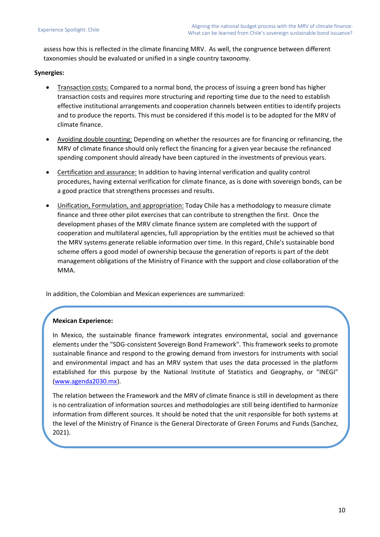assess how this is reflected in the climate financing MRV. As well, the congruence between different taxonomies should be evaluated or unified in a single country taxonomy.

## **Synergies:**

- Transaction costs: Compared to a normal bond, the process of issuing a green bond has higher transaction costs and requires more structuring and reporting time due to the need to establish effective institutional arrangements and cooperation channels between entities to identify projects and to produce the reports. This must be considered if this model is to be adopted for the MRV of climate finance.
- Avoiding double counting: Depending on whether the resources are for financing or refinancing, the MRV of climate finance should only reflect the financing for a given year because the refinanced spending component should already have been captured in the investments of previous years.
- Certification and assurance: In addition to having internal verification and quality control procedures, having external verification for climate finance, as is done with sovereign bonds, can be a good practice that strengthens processes and results.
- Unification, Formulation, and appropriation: Today Chile has a methodology to measure climate finance and three other pilot exercises that can contribute to strengthen the first. Once the development phases of the MRV climate finance system are completed with the support of cooperation and multilateral agencies, full appropriation by the entities must be achieved so that the MRV systems generate reliable information over time. In this regard, Chile's sustainable bond scheme offers a good model of ownership because the generation of reports is part of the debt management obligations of the Ministry of Finance with the support and close collaboration of the MMA.

In addition, the Colombian and Mexican experiences are summarized:

## **Mexican Experience:**

In Mexico, the sustainable finance framework integrates environmental, social and governance elements under the "SDG-consistent Sovereign Bond Framework". This framework seeks to promote sustainable finance and respond to the growing demand from investors for instruments with social and environmental impact and has an MRV system that uses the data processed in the platform established for this purpose by the National Institute of Statistics and Geography, or "INEGI" [\(www.agenda2030.mx\)](http://www.agenda2030.mx/).

The relation between the Framework and the MRV of climate finance is still in development as there is no centralization of information sources and methodologies are still being identified to harmonize information from different sources. It should be noted that the unit responsible for both systems at the level of the Ministry of Finance is the General Directorate of Green Forums and Funds (Sanchez, 2021).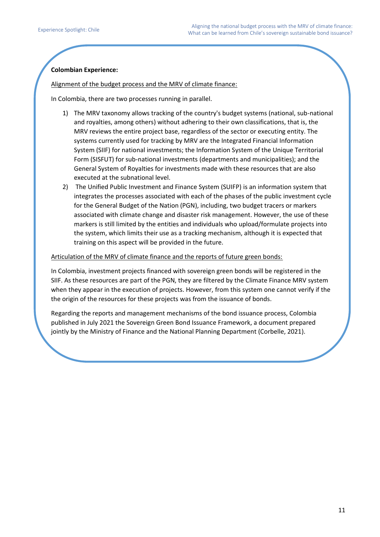### **Colombian Experience:**

#### Alignment of the budget process and the MRV of climate finance:

In Colombia, there are two processes running in parallel.

- 1) The MRV taxonomy allows tracking of the country's budget systems (national, sub-national and royalties, among others) without adhering to their own classifications, that is, the MRV reviews the entire project base, regardless of the sector or executing entity. The systems currently used for tracking by MRV are the Integrated Financial Information System (SIIF) for national investments; the Information System of the Unique Territorial Form (SISFUT) for sub-national investments (departments and municipalities); and the General System of Royalties for investments made with these resources that are also executed at the subnational level.
- 2) The Unified Public Investment and Finance System (SUIFP) is an information system that integrates the processes associated with each of the phases of the public investment cycle for the General Budget of the Nation (PGN), including, two budget tracers or markers associated with climate change and disaster risk management. However, the use of these markers is still limited by the entities and individuals who upload/formulate projects into the system, which limits their use as a tracking mechanism, although it is expected that training on this aspect will be provided in the future.

#### Articulation of the MRV of climate finance and the reports of future green bonds:

In Colombia, investment projects financed with sovereign green bonds will be registered in the SIIF. As these resources are part of the PGN, they are filtered by the Climate Finance MRV system when they appear in the execution of projects. However, from this system one cannot verify if the the origin of the resources for these projects was from the issuance of bonds.

Regarding the reports and management mechanisms of the bond issuance process, Colombia published in July 2021 the Sovereign Green Bond Issuance Framework, a document prepared jointly by the Ministry of Finance and the National Planning Department (Corbelle, 2021).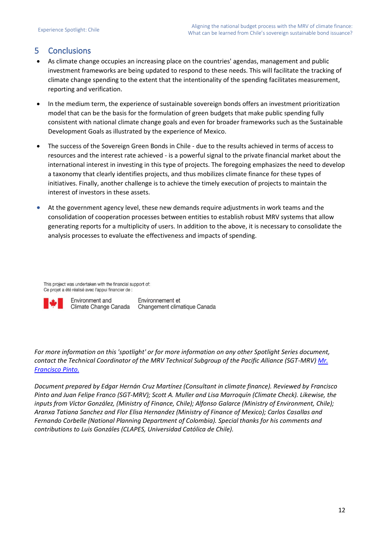# 5 Conclusions

- As climate change occupies an increasing place on the countries' agendas, management and public investment frameworks are being updated to respond to these needs. This will facilitate the tracking of climate change spending to the extent that the intentionality of the spending facilitates measurement, reporting and verification.
- In the medium term, the experience of sustainable sovereign bonds offers an investment prioritization model that can be the basis for the formulation of green budgets that make public spending fully consistent with national climate change goals and even for broader frameworks such as the Sustainable Development Goals as illustrated by the experience of Mexico.
- The success of the Sovereign Green Bonds in Chile due to the results achieved in terms of access to resources and the interest rate achieved - is a powerful signal to the private financial market about the international interest in investing in this type of projects. The foregoing emphasizes the need to develop a taxonomy that clearly identifies projects, and thus mobilizes climate finance for these types of initiatives. Finally, another challenge is to achieve the timely execution of projects to maintain the interest of investors in these assets.
- At the government agency level, these new demands require adjustments in work teams and the consolidation of cooperation processes between entities to establish robust MRV systems that allow generating reports for a multiplicity of users. In addition to the above, it is necessary to consolidate the analysis processes to evaluate the effectiveness and impacts of spending.

This project was undertaken with the financial support of: Ce projet a été réalisé avec l'appui financier de :



Environment and Climate Change Canada

Environnement et Changement climatique Canada

*For more information on this 'spotlight' or for more information on any other Spotlight Series document, contact the Technical Coordinator of the MRV Technical Subgroup of the Pacific Alliance (SGT-MRV) [Mr.](mailto:mailto:fjpintop@gmail.com?subject=Spotlight%20Paper)  [Francisco Pinto.](mailto:mailto:fjpintop@gmail.com?subject=Spotlight%20Paper)*

*Document prepared by Edgar Hernán Cruz Martínez (Consultant in climate finance). Reviewed by Francisco Pinto and Juan Felipe Franco (SGT-MRV); Scott A. Muller and Lisa Marroquín (Climate Check). Likewise, the inputs from Víctor González, (Ministry of Finance, Chile); Alfonso Galarce (Ministry of Environment, Chile); Aranxa Tatiana Sanchez and Flor Elisa Hernandez (Ministry of Finance of Mexico); Carlos Casallas and Fernando Corbelle (National Planning Department of Colombia). Special thanks for his comments and contributions to Luis Gonzáles (CLAPES, Universidad Católica de Chile).*